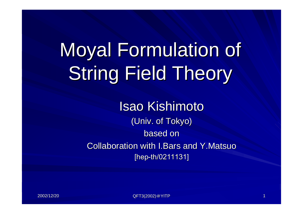# Moyal Formulation of **String Field Theory**

Isao Kishimoto (Univ. of Tokyo) based on Collaboration with I.Bars and Y.Matsuo [hep-th/0211131]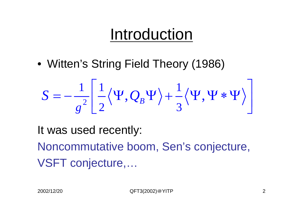# Introduction

• Witten's String Field Theory (1986)

$$
S = -\frac{1}{g^2} \left[ \frac{1}{2} \langle \Psi, Q_B \Psi \rangle + \frac{1}{3} \langle \Psi, \Psi * \Psi \rangle \right]
$$

It was used recently:

Noncommutative boom, Sen's conjecture, VSFT conjecture,…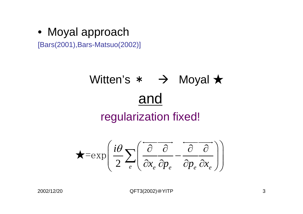• Moyal approach

[Bars(2001),Bars-Matsuo(2002)]

# Witten's \* → Moyal ★ and regularization fixed!

$$
\bigstar = \exp\left(\frac{i\theta}{2} \sum_{e} \left( \overrightarrow{\frac{\partial}{\partial x_e} \frac{\partial}{\partial p_e}} - \overrightarrow{\frac{\partial}{\partial p_e} \frac{\partial}{\partial x_e}} \right)\right)
$$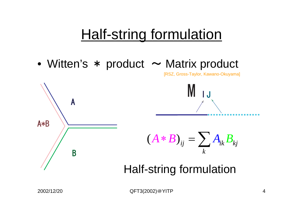# **Half-string formulation**

• Witten's \* product  $\sim$  Matrix product



[RSZ, Gross-Taylor, Kawan o-Okuy ama]



Half-string formulation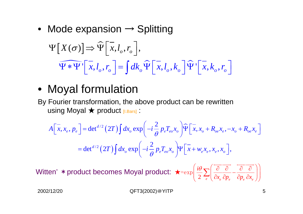• Mode expansion  $\rightarrow$  Splitting

$$
\Psi\left[X(\sigma)\right] \Rightarrow \widehat{\Psi}\left[\overline{x}, l_o, r_o\right],
$$
  

$$
\widehat{\Psi * \Psi'}\left[\overline{x}, l_o, r_o\right] = \int dk_o \widehat{\Psi}\left[\overline{x}, l_o, k_o\right] \widehat{\Psi'}\left[\overline{x}, k_o, r_o\right]
$$

#### • Moyal formulation

By Fourier transformation, the above product can be rewritten using Moyal ★ product [I.Bars] :

$$
A\left[\overline{x}, x_e, p_e\right] = \det^{d/2}\left(2T\right) \int dx_o \exp\left(-i\frac{2}{\theta} p_e T_{eo} x_o\right) \widehat{\Psi}\left[\overline{x}, x_o + R_{oe} x_e, -x_o + R_{oe} x_e\right]
$$

$$
= \det^{d/2}\left(2T\right) \int dx_o \exp\left(-i\frac{2}{\theta} p_e T_{eo} x_o\right) \Psi\left[\overline{x} + w_e x_e, x_e, x_o\right],
$$

 $2 \left( \frac{\partial}{\partial x_e} \partial p_e \right) \partial p_e \partial x_e$ *i*  $\int_{a}^{b}$  *z p p p p x p x*  $\left(\frac{i\theta}{2}\sum_{e}\left(\overline{\frac{\partial}{\partial x_{e}}\frac{\partial}{\partial p_{e}}}-\overline{\frac{\partial}{\partial p_{e}}\frac{\partial}{\partial x_{e}}}\right)\right)$ ∑ HJJJ JJJG HJJJJJJG Witten' \*product b ecomes Moyal product: ★=exp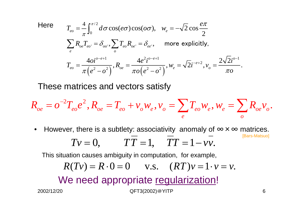Here 
$$
T_{eo} = \frac{4}{\pi} \int_0^{\pi/2} d\sigma \cos(e\sigma) \cos(o\sigma), \quad w_e = -\sqrt{2} \cos \frac{e\pi}{2}
$$

$$
\sum_e R_{oe} T_{eo} = \delta_{oo}, \sum_o T_{eo} R_{oe} = \delta_{ee}, \quad \text{more explicitly,}
$$

$$
T_{eo} = \frac{4\sigma i^{o-e+1}}{\pi (e^2 - o^2)}, R_{oe} = \frac{4e^2 i^{o-e+1}}{\pi o (e^2 - o^2)}, w_e = \sqrt{2} i^{-e+2}, v_o = \frac{2\sqrt{2} i^{o-1}}{\pi o}.
$$

These matrices and vectors satisfy

$$
R_{oe} = o^{-2}T_{eo}e^{2}, R_{oe} = T_{eo} + v_o w_e, v_o = \sum_e T_{eo}w_e, w_e = \sum_o R_{oe}v_o.
$$

•However, there is a subtlety: associativity anomaly of  $\infty \times \infty$  matrices. [Bars-M atsuo]  $TV = 0,$   $TT = 1,$   $TT$  $=1\,$ − $-\nu\nu$ .

This situation causes ambiguity in computation, for example,

$$
R(Tv) = R \cdot 0 = 0 \qquad v.s. \quad (RT)v = 1 \cdot v = v.
$$

We need appropriate regularization!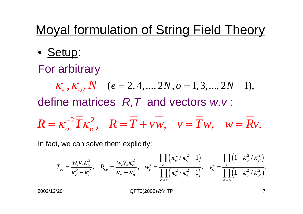### Moyal formulation of String Field Theory

• <u>Setup</u>:

For arbitrary

$$
K_e
$$
,  $K_o$ ,  $N$  ( $e = 2, 4, ..., 2N$ ,  $o = 1, 3, ..., 2N - 1$ ),  
define matrices  $R$ ,  $T$  and vectors  $w$ ,  $v$ :

$$
R = \kappa_o^{-2} \overline{T} \kappa_e^2, \quad R = \overline{T} + \nu \overline{w}, \quad \nu = \overline{T} w, \quad w = \overline{R} v.
$$

In fact, we can solve them explicitly:

$$
T_{eo} = \frac{w_e v_o \kappa_o^2}{\kappa_e^2 - \kappa_o^2}, \quad R_{oe} = \frac{w_e v_o \kappa_e^2}{\kappa_e^2 - \kappa_o^2}, \quad w_e^2 = \frac{\prod_{o'} (\kappa_e^2 / \kappa_{o'}^2 - 1)}{\prod_{e' \neq e} (\kappa_e^2 / \kappa_{e'}^2 - 1)}, \quad v_o^2 = \frac{\prod_{e'} (1 - \kappa_o^2 / \kappa_{e'}^2)}{\prod_{o' \neq o} (1 - \kappa_o^2 / \kappa_{o'}^2)}.
$$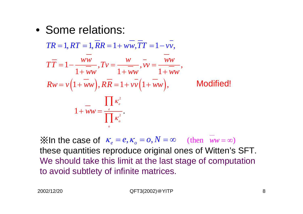• Some relations:

$$
TR = 1, RT = 1, \overline{RR} = 1 + \overline{vw}, \overline{TT} = 1 - \overline{vv},
$$
\n
$$
\overline{TT} = 1 - \frac{\overline{vw}}{1 + \overline{w}w}, \overline{TV} = \frac{\overline{w}}{1 + \overline{w}w} = \frac{\overline{w}w}{1 + \overline{w}w},
$$
\n
$$
Rw = v\left(1 + \overline{w}w\right), \overline{RR} = 1 + v\overline{v}\left(1 + \overline{w}w\right),
$$
\nModified!

\n
$$
1 + \overline{w}w = \frac{\prod_{e} \kappa_e^2}{\prod_{o} \kappa_o^2}.
$$

 $\mathbb{X}$  In the case of  $\kappa_e = e, \kappa_o = o, N = \infty$  (then  $ww = \infty$ ) these quantities reproduce original ones of Witten's SFT. We should take this limit at the last stage of computation to avoid subtlety of infinite matrices.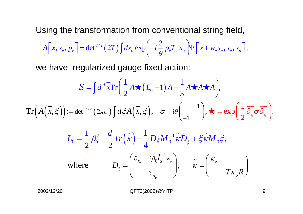Using the transformation from conventional string field,

$$
A\left[x, x_e, p_e\right] = \det^{d/2}\left(2T\right)\int dx_o \exp\left(-i\frac{2}{\theta}p_e T_{eo} x_o\right) \Psi\left[\overline{x} + w_e x_e, x_e, x_o\right],
$$

we have regularized gauge fixed action:

$$
S = \int d^d \vec{x} \text{Tr} \left( \frac{1}{2} A \star (L_0 - 1) A + \frac{1}{3} A \star A \star A \right),
$$
  
\n
$$
\text{Tr} \left( A(\vec{x}, \xi) \right) := \det^{-d/2} (2\pi \sigma) \int d\xi A(\vec{x}, \xi), \quad \sigma = i\theta \begin{pmatrix} 1 \\ -1 \end{pmatrix}, \star = \exp \left( \frac{1}{2} \overline{\partial}_{\xi} \sigma \overline{\partial}_{\xi} \right).
$$
  
\n
$$
L_0 = \frac{1}{2} \beta_0^2 - \frac{d}{2} \text{Tr} (\tilde{\kappa}) - \frac{1}{4} \overline{D}_{\xi} M_0^{-1} \tilde{\kappa} D_{\xi} + \overline{\xi} \tilde{\kappa} M_0 \xi,
$$
  
\nwhere 
$$
D_{\xi} = \begin{pmatrix} \partial_{x_e} - i \beta_0 l_s^{-1} w_e \\ \partial_{p_e} \end{pmatrix}, \quad \tilde{\kappa} = \begin{pmatrix} \kappa_e \\ T \kappa_o R \end{pmatrix}
$$

where

2002/12/20 QFT3(2002) @YITP 9

 $x_{\rm s}$   $\sim$  0 s

∂

*e*

 $=$   $\vert$ ,  $K=$ 

*p*

 $r e$   $D_z = \begin{vmatrix} x_e & y_e & y_e \end{vmatrix}$ 

ξ

*e*

*o*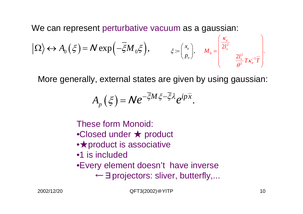We can represent perturbative vacuum as a gaussian:

$$
\left| \Omega \right\rangle \leftrightarrow A_0 \left( \xi \right) = N \exp \left( - \overline{\xi} M_0 \xi \right), \qquad \xi = \begin{pmatrix} x_e \\ p_e \end{pmatrix}, \qquad M_0 = \begin{pmatrix} \frac{\kappa_e}{2l_s^2} & & \\ \frac{2l_s^2}{\theta^2} T \kappa_e^{-1} \overline{T} \end{pmatrix}.
$$

More generally, external states are given by using gaussian:

$$
A_p(\xi) = N e^{-\overline{\xi}M\xi - \overline{\xi}\lambda} e^{ip\overline{x}}.
$$

These form Monoid:

- •Closed under ★ product
- ●**★product is associative**
- •1 is included
- •Every element doesn't have inverse
	- ←∃projectors: sliver, butterfly,...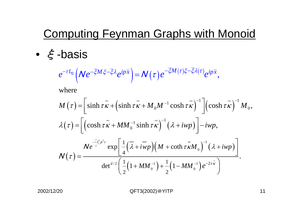### Computing Feynman Graphs with Monoid

• ξ-basis

$$
e^{-\tau L_0}\left(\mathcal{N}e^{-\overline{\xi}M\xi-\overline{\xi}\lambda}e^{ip\overline{x}}\right)=\mathcal{N}(\tau)e^{-\overline{\xi}M(\tau)\xi-\overline{\xi}\lambda(\tau)}e^{ip\overline{x}},
$$

where

$$
M(\tau) = \left[\sinh \tau \tilde{\kappa} + \left(\sinh \tau \tilde{\kappa} + M_0 M^{-1} \cosh \tau \tilde{\kappa}\right)^{-1}\right] \left(\cosh \tau \tilde{\kappa}\right)^{-1} M_0,
$$
  

$$
\lambda(\tau) = \left[\left(\cosh \tau \tilde{\kappa} + MM_0^{-1} \sinh \tau \tilde{\kappa}\right)^{-1} \left(\lambda + iwp\right)\right] - iwp,
$$
  

$$
N(\tau) = \frac{Ne^{\frac{-1}{2}\tau_{\rm s}^2 \rho^2 \tau} \exp\left[\frac{1}{4} \left(\overline{\lambda} + iwp\right) \left(M + \coth \tau \tilde{\kappa} M_0\right)^{-1} \left(\lambda + iwp\right)\right]}{\det^{d/2}\left(\frac{1}{2} \left(1 + MM_0^{-1}\right) + \frac{1}{2} \left(1 - MM_0^{-1}\right) e^{-2\tau \tilde{\kappa}}\right)}.
$$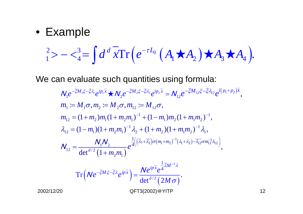#### • Example

$$
_{1}^{2} > - \langle _{4}^{3} = \int d^{d}x \text{Tr} \left( e^{-\tau L_{0}} \left( A_{1} \star A_{2} \right) \star A_{3} \star A_{4} \right).
$$

We can evaluate such quantities using formula:

$$
N_{1}e^{-\overline{\xi}M_{1}\xi-\overline{\xi}\lambda_{1}}e^{ip_{1}\overline{x}}\star N_{2}e^{-\overline{\xi}M_{2}\xi-\overline{\xi}\lambda_{2}}e^{ip_{2}\overline{x}} = N_{12}e^{-\overline{\xi}M_{12}\xi-\overline{\xi}\lambda_{12}}e^{i(p_{1}+p_{2})\overline{x}},
$$
  
\n
$$
m_{1} := M_{1}\sigma, m_{2} := M_{2}\sigma, m_{12} := M_{12}\sigma,
$$
  
\n
$$
m_{12} = (1+m_{2})m_{1}(1+m_{2}m_{1})^{-1} + (1-m_{1})m_{2}(1+m_{1}m_{2})^{-1},
$$
  
\n
$$
\lambda_{12} = (1-m_{1})(1+m_{2}m_{1})^{-1}\lambda_{2} + (1+m_{2})(1+m_{1}m_{2})^{-1}\lambda_{1},
$$
  
\n
$$
N_{12} = \frac{N_{1}N_{2}}{\det^{d/2}(1+m_{2}m_{1})}e^{\frac{1}{4}((\overline{\lambda}_{1}+\overline{\lambda}_{2})\sigma(m_{1}+m_{2})^{-1}(\lambda_{1}+\lambda_{2})-\overline{\lambda}_{12}\sigma m_{12}^{-1}\lambda_{12})},
$$
  
\nTr
$$
(Ne^{-\overline{\xi}M\xi-\overline{\xi}\lambda}e^{ip\overline{x}}) = \frac{Ne^{ip\overline{x}}e^{\frac{1}{4}\overline{\lambda}M^{-1}\lambda}}{\det^{d/2}(2M\sigma)}.
$$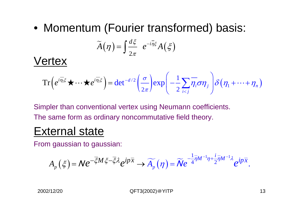• Momentum (Fourier transformed) basis:

$$
\widetilde{A}(\eta) = \int \frac{d\xi}{2\pi} e^{-i\overline{\eta}\xi} A(\xi)
$$

Vertex

$$
\operatorname{Tr}\left(e^{i\overline{\eta_1}\xi}\star\cdots\star e^{i\overline{\eta_1}\xi}\right)=\det^{-d/2}\left(\frac{\sigma}{2\pi}\right)\exp\left(-\frac{1}{2}\sum_{i
$$

Simpler than conventional vertex using Neumann coefficients. The same form as ordinary noncommutative field theory.

#### External state

From gaussian to gaussian:

$$
A_{p}(\xi) = N e^{-\overline{\xi}M\xi - \overline{\xi}\lambda} e^{ip\overline{x}} \longrightarrow \widetilde{A_{p}}(\eta) = \widetilde{N} e^{-\frac{1}{4}\overline{\eta}M^{-1}\eta + \frac{i}{2}\overline{\eta}M^{-1}\lambda} e^{ip\overline{x}}.
$$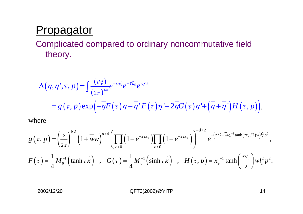#### **Propagator**

Complicated compared to ordinary noncommutative field theory.

$$
\Delta(\eta, \eta^{\prime}, \tau, p) = \int \frac{(d\xi)}{(2\pi)^{2N d}} e^{-i\overline{\eta}\xi} e^{-\tau L_0} e^{i\overline{\eta}\zeta}
$$
  
=  $g(\tau, p) \exp\left(-\overline{\eta}F(\tau)\eta - \overline{\eta}^{\prime}F(\tau)\eta^{\prime} + 2\overline{\eta}G(\tau)\eta^{\prime} + (\overline{\eta} + \overline{\eta}^{\prime})H(\tau, p)\right),$ 

where

$$
g\left(\tau,p\right) = \left(\frac{\theta}{2\pi}\right)^{Nd} \left(1+\overline{w}w\right)^{d/4} \left(\prod_{e>0} \left(1-e^{-2\tau\kappa_e}\right)\prod_{o>0} \left(1-e^{-2\tau\kappa_o}\right)\right)^{-d/2} e^{-\left(\tau/2+\overline{w}\kappa_e^{-1}\tanh(\tau\kappa_e/2)w\right)l_s^2p^2},
$$
  

$$
F\left(\tau\right) = \frac{1}{4}M_0^{-1}\left(\tanh\tau\tilde{\kappa}\right)^{-1}, \quad G\left(\tau\right) = \frac{1}{4}M_0^{-1}\left(\sinh\tau\tilde{\kappa}\right)^{-1}, \quad H\left(\tau,p\right) = \kappa_e^{-1}\tanh\left(\frac{\tau\kappa_e}{2}\right)wl_s^2p^2.
$$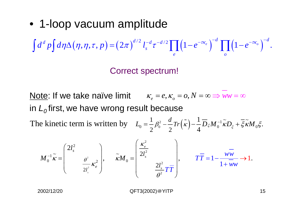• 1-loop vacuum amplitude

$$
\int d^d p \int d\eta \Delta(\eta, \eta, \tau, p) = (2\pi)^{d/2} \int_s^{-d} \tau^{-d/2} \prod_e \left(1 - e^{-\tau \kappa_e}\right)^{-d} \prod_o \left(1 - e^{-\tau \kappa_o}\right)^{-d}.
$$

Correct spectrum!

Note: If we take naïve limit  $\kappa_e = e, \kappa_o = o, N = \infty \Rightarrow ww = \infty$ in  $\boldsymbol{L}_{o}$ first, we have wrong result because  $\int_{0}^{2} -\frac{a}{2} Tr(\tilde{k}) -\frac{1}{4} \overline{D}_{\xi} M_0^{-1} \tilde{\kappa} D_{\xi} + \overline{\xi} \tilde{\kappa}$  $0 - I''(K) - I''(K)$  $\sigma_0 = \frac{1}{2} \beta_0^2 - \frac{a}{2} Tr(k) - \frac{1}{4} D_{\xi} M_0^{-1} k D_{\xi} + \xi k M_0$ 1 1  $4^{25}$   $\frac{1}{2}$   $\frac{1}{2}$   $\frac{1}{2}$   $\frac{1}{2}$   $\frac{1}{2}$   $\frac{1}{2}$   $\frac{1}{2}$ T h e kinetic te r m is w ritten by *d* $L_0 = \frac{1}{2} \beta_0^2 - \frac{1}{2} Tr(k) - \frac{1}{4} D_{\xi} M_0^{-1} k D_{\xi} + \xi k M_0 \xi$ ∼

$$
M_0^{-1}\widetilde{\kappa} = \begin{pmatrix} 2l_s^2 & & \\ & \theta^2 & \\ & & 2l_s^2 \end{pmatrix}, \qquad \widetilde{\kappa}M_0 = \begin{pmatrix} \frac{\kappa_e^2}{2l_s^2} & & \\ & \frac{2l_s^2}{\theta^2} & \\ & & \frac{2l_s^2}{\theta^2} & \\ & & \theta^2 \end{pmatrix}, \qquad T\overline{T} = 1 - \frac{ww}{1+ww} \rightarrow 1.
$$

2 2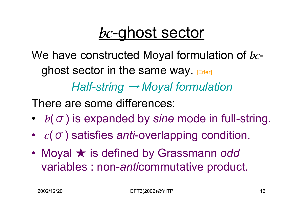## bc-ghost sector

We have constructed Moyal formulation of  $bc\text{-}$ ghost sector in the same way.  $E = F|E|$ 

*Half-string*  → *Moyal formulation*

There are some differences:

- ï• b(σ) is expanded by *sine* mode in full-string.
- $\bullet$ •  $c(\sigma)$  satisfies *anti*-overlapping condition.
- ï Moyal ★ is defined by Grassmann *odd*  variables : non-*anti*commutative product.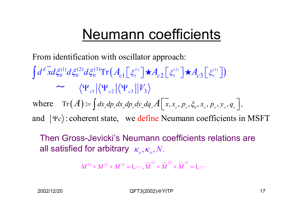### Neumann coefficients

From identification with oscillator approach:

 $\left(A_{c1}\left[\left.\xi_0^{\scriptscriptstyle{(1)}}\right]\right.\star\!,\!A_{c2}\left[\left.\xi_0^{\scriptscriptstyle{(2)}}\right]\right.\star\!,\!A_{c3}\left[\left.\xi_0^{\scriptscriptstyle{(3)}}\right]\right)\right)$ where  $\text{Tr}(A) = \int dx_e dp_e dx_o dp_o dy_o dq_o A \mid x, x_e, p_e, \xi_0, x_o, p_o, y_o, q_o \mid$ 0  $\sqrt{2}$   $\sqrt{2}$   $\sqrt{2}$   $\sqrt{2}$   $\sqrt{2}$   $\sqrt{2}$   $\sqrt{2}$   $\sqrt{2}$   $\sqrt{2}$   $\sqrt{2}$   $\sqrt{2}$   $\sqrt{2}$   $\sqrt{2}$   $\sqrt{2}$   $\sqrt{2}$   $\sqrt{2}$   $\sqrt{2}$   $\sqrt{2}$   $\sqrt{2}$   $\sqrt{2}$   $\sqrt{2}$   $\sqrt{2}$   $\sqrt{2}$   $\sqrt{2}$   $\sqrt{2}$   $\sqrt{2}$   $\sqrt{2}$   $\sqrt$  $(1)$   $J \not\in (2)$   $J \not\in (3)$ 0  $u_{50}$   $u_{50}$   $11 \times c1$   $s_0$   $r^2c2$   $s_0$   $r^2c3$  $\mathbb{E}\left[\|\Psi_{c2}\| \|\Psi_{c3}\| \|V_3\| \right]$ and  $|\Psi c\rangle$ : coherent state, we define Neumann coefficients in MSFT Tr *d c* **l**  $\left[\begin{array}{cc} -c & -c \\ c & -c \end{array}\right]$  $\int d^d x d\xi_0^{(1)} d\xi_0^{(2)} d\xi_0^{(3)} \text{Tr}\left(A_{c1} \left[ \xi_0^{(1)} \right] \star A_{c2} \left[ \xi_0^{(2)} \right] \star A_{c3} \left[ \xi_0^{(3)} \right]$  $\int dx^{\vphantom{1}}_{e}dp^{\vphantom{1}}_{e}dx_{\vphantom{1}}dp^{\vphantom{1}}_{o}dy^{\vphantom{1}}_{o}dq^{\vphantom{1}}_{o}A\Big[\,\overline{x},x^{\vphantom{1}}_{e},p^{\vphantom{1}}_{e},\xi^{\vphantom{1}}_{o},x^{\vphantom{1}}_{o},p^{\vphantom{1}}_{o},y^{\vphantom{1}}_{o},q^{\vphantom{1}}_{o}\Big]$ ∼ $\star A_{\scriptscriptstyle{c}}$   $\xi_{\scriptscriptstyle{c}}^{\scriptscriptstyle{(2)}}$   $\star$ 

Then Gross-Jevicki's Neumann coefficients relations are all satisfied for arbitrary  $\,\kappa_{_e}^{},\kappa_{_o}^{},N_\cdot$ 

$$
M^{11} + M^{12} + M^{13} = 1, \cdots, \widetilde{M}^{11} + \widetilde{M}^{12} + \widetilde{M}^{13} = 1, \cdots
$$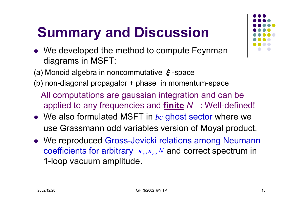### **Summary and Discussion**

- $\bullet\;$  We developed the method to compute Feynman diagrams in MSFT:
- (a) Monoid algebra in noncommutative ξ-space
- (b) non-diagonal propagator + phase in momentum-space
	- All computations are gaussian integration and can be applied to any frequencies and **finite** *N* : Well-defined!
- $\bullet\;$  We also formulated MSFT in  $bc$  ghost sector where we use Grassmann odd variables version of Moyal product.
- We reproduced Gross-Jevicki relations among Neumann coefficients for arbitrary  $\kappa_e, \kappa_o, N$  and correct spectrum in 1-loop vacuum amplitude.

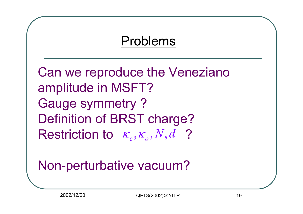### Problems

Can we reproduce the Veneziano amplitude in MSFT? Gauge symmetry ? Definition of BRST charge?  $\bm{\mathsf{Restriction~to~}}\bm{\mathsf{\kappa}}_{e},\bm{\mathsf{\kappa}}_{o},N,d$  ?

### Non-perturbative vacuum?